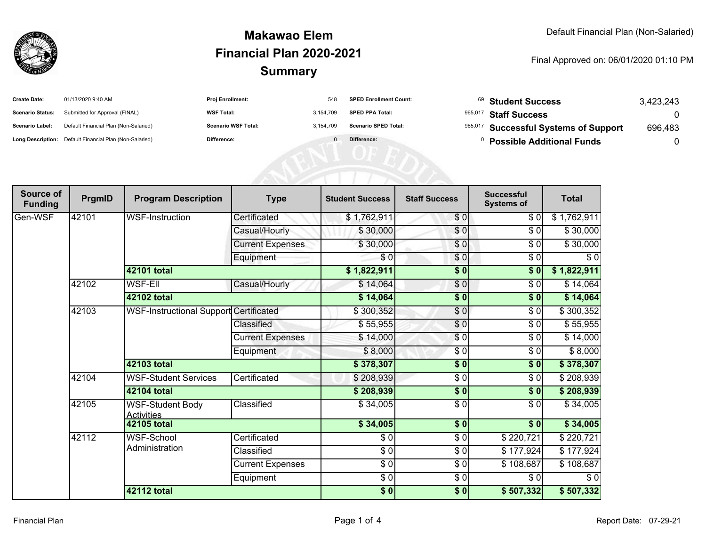

#### **SummaryMakawao ElemFinancial Plan 2020-2021**

#### Final Approved on: 06/01/2020 01:10 PM

| <b>Create Date:</b>     | 01/13/2020 9:40 AM                                      | Proj Enrollment:           | 548       | <b>SPED Enrollment Count:</b> | <sup>69</sup> Student Success         | 3,423,243 |
|-------------------------|---------------------------------------------------------|----------------------------|-----------|-------------------------------|---------------------------------------|-----------|
| <b>Scenario Status:</b> | Submitted for Approval (FINAL)                          | <b>WSF Total:</b>          | 3.154.709 | <b>SPED PPA Total:</b>        | 965,017 Staff Success                 |           |
| <b>Scenario Label:</b>  | Default Financial Plan (Non-Salaried)                   | <b>Scenario WSF Total:</b> | 3,154,709 | <b>Scenario SPED Total:</b>   | 965,017 Successful Systems of Support | 696,483   |
|                         | Long Description: Default Financial Plan (Non-Salaried) | Difference:                |           | Difference:                   | <b>Possible Additional Funds</b>      |           |
|                         |                                                         |                            |           |                               |                                       |           |
|                         |                                                         |                            |           |                               |                                       |           |
|                         |                                                         |                            |           |                               |                                       |           |

| Source of<br><b>Funding</b> | PrgmID | <b>Program Description</b>                   | <b>Type</b>             | <b>Student Success</b> | <b>Staff Success</b> | <b>Successful</b><br><b>Systems of</b> | <b>Total</b> |
|-----------------------------|--------|----------------------------------------------|-------------------------|------------------------|----------------------|----------------------------------------|--------------|
| Gen-WSF                     | 42101  | <b>WSF-Instruction</b>                       | Certificated            | \$1,762,911            | \$0                  | \$0                                    | \$1,762,911  |
|                             |        |                                              | Casual/Hourly           | \$30,000               | $\overline{\$0}$     | \$0                                    | \$30,000     |
|                             |        |                                              | <b>Current Expenses</b> | \$30,000               | \$0                  | \$0                                    | \$30,000     |
|                             |        |                                              | Equipment               | \$0                    | \$0                  | \$0                                    | \$0          |
|                             |        | 42101 total                                  |                         | \$1,822,911            | $\sqrt{6}$           | \$0                                    | \$1,822,911  |
|                             | 42102  | <b>WSF-EII</b>                               | Casual/Hourly           | \$14,064               | $\frac{6}{6}$        | $\frac{6}{6}$                          | \$14,064     |
|                             |        | 42102 total                                  |                         | \$14,064               | $\frac{6}{6}$        | \$0                                    | \$14,064     |
|                             | 42103  | WSF-Instructional Support Certificated       |                         | \$300,352              | $\frac{6}{9}$        | \$0                                    | \$300,352    |
|                             |        |                                              | Classified              | \$55,955               | $\frac{6}{3}$        | \$0                                    | \$55,955     |
|                             |        |                                              | <b>Current Expenses</b> | \$14,000               | $\sqrt{6}$           | \$0                                    | \$14,000     |
|                             |        |                                              | Equipment               | \$8,000                | \$0                  | \$0                                    | \$8,000      |
|                             |        | 42103 total                                  |                         | \$378,307              | $\frac{1}{2}$        | \$0                                    | \$378,307    |
|                             | 42104  | <b>WSF-Student Services</b>                  | Certificated            | \$208,939              | $\frac{3}{2}$        | \$0                                    | \$208,939    |
|                             |        | 42104 total                                  |                         | \$208,939              | $\sqrt{6}$           | \$0                                    | \$208,939    |
|                             | 42105  | <b>WSF-Student Body</b><br><b>Activities</b> | Classified              | \$34,005               | \$0                  | \$0                                    | \$34,005     |
|                             |        | <b>42105 total</b>                           |                         | \$34,005               | $\sqrt{6}$           | $\overline{\$0}$                       | \$34,005     |
|                             | 42112  | WSF-School<br>Administration                 | Certificated            | \$0                    | $\frac{6}{6}$        | \$220,721                              | \$220,721    |
|                             |        |                                              | Classified              | $\frac{1}{6}$          | \$0                  | \$177,924                              | \$177,924    |
|                             |        |                                              | <b>Current Expenses</b> | $\frac{1}{6}$          | $\frac{6}{6}$        | \$108,687                              | \$108,687    |
|                             |        |                                              | Equipment               | \$0                    | $\frac{1}{\sqrt{2}}$ | \$0                                    | $\sqrt{6}$   |
|                             |        | <b>42112 total</b>                           |                         | \$0                    | $\sqrt{6}$           | \$507,332                              | \$507,332    |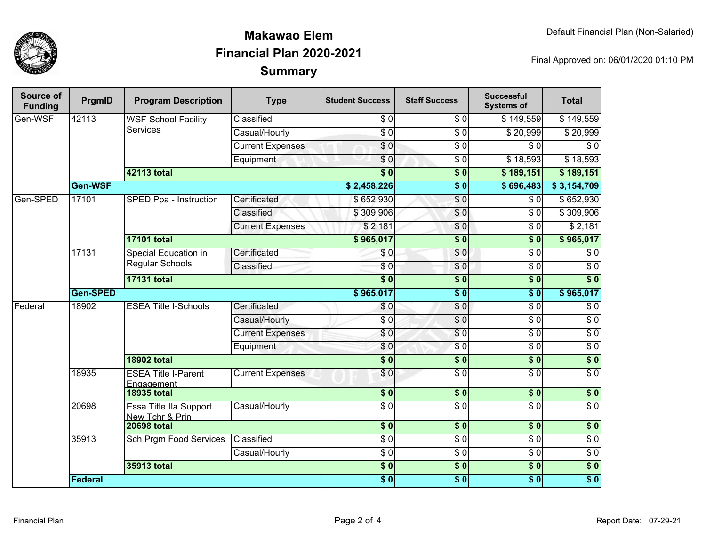

## **SummaryMakawao ElemFinancial Plan 2020-2021**

Final Approved on: 06/01/2020 01:10 PM

| Source of<br><b>Funding</b> | PrgmID   | <b>Program Description</b>                    | <b>Type</b>             | <b>Student Success</b> | <b>Staff Success</b> | <b>Successful</b><br><b>Systems of</b> | <b>Total</b>     |
|-----------------------------|----------|-----------------------------------------------|-------------------------|------------------------|----------------------|----------------------------------------|------------------|
| Gen-WSF                     | 42113    | <b>WSF-School Facility</b><br><b>Services</b> | Classified              | $\sqrt{6}$             | $\overline{\$0}$     | \$149,559                              | \$149,559        |
|                             |          |                                               | Casual/Hourly           | $\overline{\$0}$       | $\overline{\$0}$     | \$20,999                               | \$20,999         |
|                             |          |                                               | <b>Current Expenses</b> | $\sqrt{6}$             | $\overline{30}$      | \$0                                    | $\sqrt{6}$       |
|                             |          |                                               | Equipment               | \$0                    | $\overline{\$0}$     | \$18,593                               | \$18,593         |
|                             |          | <b>42113 total</b>                            |                         | $\overline{\$0}$       | $\overline{\$0}$     | \$189,151                              | \$189,151        |
|                             | Gen-WSF  |                                               |                         | \$2,458,226            | $\overline{\$0}$     | \$696,483                              | \$3,154,709      |
| Gen-SPED                    | 17101    | SPED Ppa - Instruction                        | Certificated            | \$652,930              | \$0                  | $\overline{\$0}$                       | \$652,930        |
|                             |          |                                               | Classified              | \$309,906              | \$0                  | \$0                                    | \$309,906        |
|                             |          |                                               | <b>Current Expenses</b> | \$2,181                | \$0                  | \$0                                    | \$2,181          |
|                             |          | <b>17101 total</b>                            |                         | \$965,017              | $\overline{\$0}$     | $\overline{\$0}$                       | \$965,017        |
|                             | 17131    | Special Education in<br>Regular Schools       | Certificated            | \$0                    | \$0                  | $\overline{\$0}$                       | $\overline{\$0}$ |
|                             |          |                                               | Classified              | $\sqrt{6}$             | \$0                  | $\overline{\$0}$                       | $\overline{\$0}$ |
|                             |          | <b>17131 total</b>                            |                         | $\overline{\$0}$       | $\overline{\$0}$     | $\overline{\$0}$                       | $\overline{\$0}$ |
|                             | Gen-SPED |                                               |                         | \$965,017              | $\overline{\$0}$     | $\overline{\$0}$                       | \$965,017        |
| Federal                     | 18902    | <b>ESEA Title I-Schools</b>                   | Certificated            | \$0                    | \$0                  | $\overline{30}$                        | $\overline{\$0}$ |
|                             |          |                                               | Casual/Hourly           | $\overline{\$0}$       | $\overline{S}0$      | $\overline{\$0}$                       | $\overline{\$0}$ |
|                             |          |                                               | <b>Current Expenses</b> | \$0                    | \$0                  | $\overline{\$0}$                       | $\overline{30}$  |
|                             |          |                                               | Equipment               | \$0                    | $\sqrt{6}$           | $\overline{\$0}$                       | $\overline{30}$  |
|                             |          | <b>18902 total</b>                            |                         | $\overline{\$0}$       | $\overline{\$0}$     | $\overline{\$0}$                       | $\overline{\$0}$ |
|                             | 18935    | <b>ESEA Title I-Parent</b><br>Engagement      | <b>Current Expenses</b> | \$0                    | $\overline{S}0$      | $\overline{\$0}$                       | $\overline{\$0}$ |
|                             |          | <b>18935 total</b>                            |                         | \$0                    | $\frac{1}{2}$        | $\overline{\$0}$                       | $\sqrt{6}$       |
|                             | 20698    | Essa Title IIa Support<br>New Tchr & Prin     | Casual/Hourly           | $\overline{\$0}$       | $\overline{\$0}$     | $\overline{\$0}$                       | $\overline{\$0}$ |
|                             |          | <b>20698 total</b>                            |                         | \$0                    | \$0                  | \$0                                    | $\overline{\$0}$ |
|                             | 35913    | <b>Sch Prgm Food Services</b>                 | Classified              | $\overline{S}0$        | $\overline{S}0$      | $\overline{\$0}$                       | $\overline{30}$  |
|                             |          |                                               | Casual/Hourly           | $\overline{\$0}$       | $\overline{\$0}$     | $\overline{\$0}$                       | $\sqrt{6}$       |
|                             |          | 35913 total                                   |                         | $\sqrt{6}$             | \$0                  | $\overline{\$0}$                       | \$0              |
|                             | Federal  |                                               |                         | $\overline{\$0}$       | $\overline{\$0}$     | $\overline{\$0}$                       | $\overline{\$0}$ |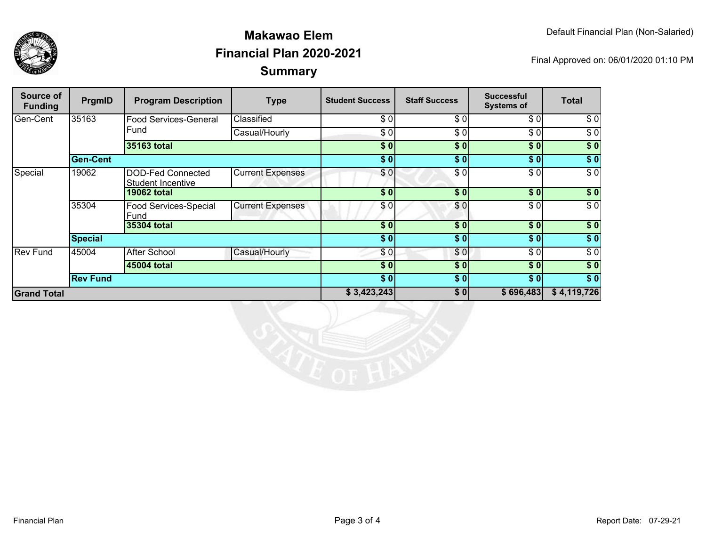

## **SummaryMakawao ElemFinancial Plan 2020-2021**

Final Approved on: 06/01/2020 01:10 PM

| Source of<br><b>Funding</b> | PrgmID          | <b>Program Description</b>                    | <b>Type</b>             | <b>Student Success</b> | <b>Staff Success</b> | <b>Successful</b><br><b>Systems of</b> | <b>Total</b>     |
|-----------------------------|-----------------|-----------------------------------------------|-------------------------|------------------------|----------------------|----------------------------------------|------------------|
| Gen-Cent                    | 35163           | Food Services-General<br>Fund                 | Classified              | \$0                    | \$0                  | \$0                                    | \$0              |
|                             |                 |                                               | Casual/Hourly           | \$0                    | \$0                  | \$0                                    | $\sqrt{6}$       |
|                             |                 | 35163 total                                   |                         | \$0                    | \$0                  | \$0                                    | \$0              |
|                             | <b>Gen-Cent</b> |                                               |                         | \$0                    | \$0                  | \$0                                    | \$0              |
| Special                     | 19062           | DOD-Fed Connected<br><b>Student Incentive</b> | <b>Current Expenses</b> | \$0                    | \$0                  | \$0                                    | $\sqrt{6}$       |
|                             |                 | <b>19062 total</b>                            |                         | \$0                    | \$0                  | \$0                                    | \$0              |
|                             | 35304           | Food Services-Special<br>Fund                 | <b>Current Expenses</b> | \$0                    | \$0                  | $\overline{\$0}$                       | $\overline{\$0}$ |
|                             |                 | 35304 total                                   |                         | \$0                    | \$0                  | \$0                                    | \$0              |
|                             | <b>Special</b>  |                                               |                         | \$0                    | \$0                  | \$0                                    | $\sqrt{6}$       |
| Rev Fund                    | 45004           | After School                                  | Casual/Hourly           | \$0                    | \$0                  | \$0                                    | \$0              |
|                             |                 | 45004 total                                   |                         | \$0                    | \$0                  | \$0                                    | $\sqrt{6}$       |
|                             | <b>Rev Fund</b> |                                               |                         | \$0                    | \$0                  | \$0                                    | $\sqrt{6}$       |
| <b>Grand Total</b>          |                 |                                               | \$3,423,243             | \$0                    | \$696,483            | \$4,119,726                            |                  |